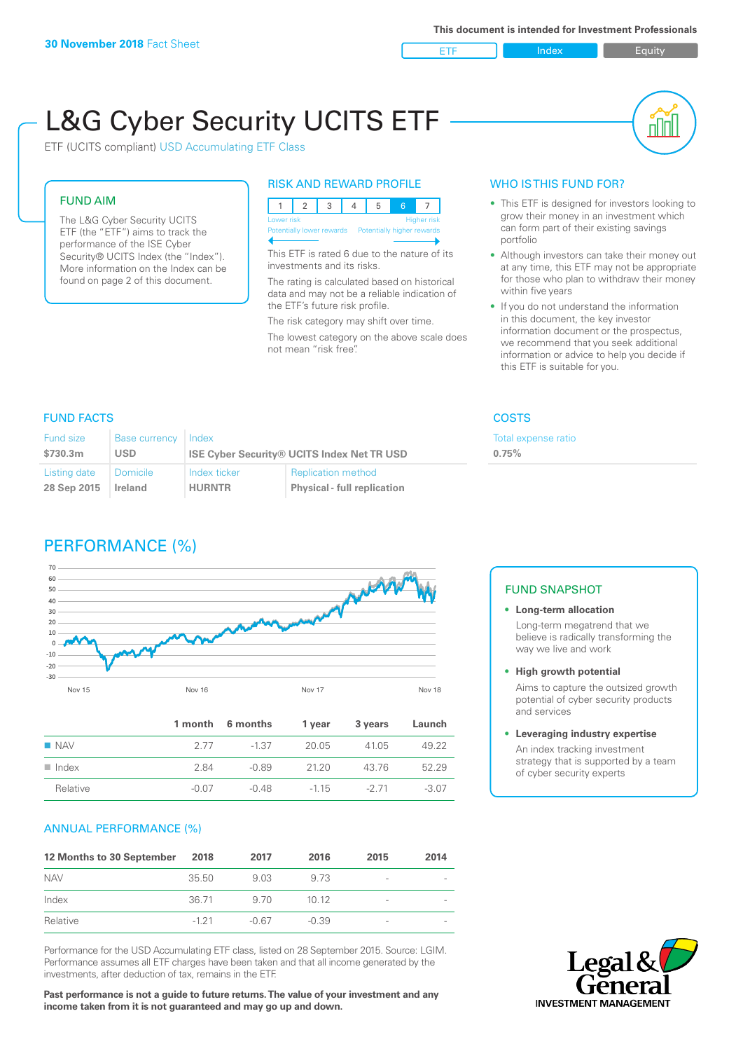ETF Index Buity

nl M

# L&G Cyber Security UCITS ETF

ETF (UCITS compliant) USD Accumulating ETF Class

#### FUND AIM

The L&G Cyber Security UCITS ETF (the "ETF") aims to track the performance of the ISE Cyber Security® UCITS Index (the "Index"). More information on the Index can be found on page 2 of this document.

#### RISK AND REWARD PROFILE

|                                                      | Lower risk<br><b>Higher risk</b> |  |  |  |  |  |  |  |
|------------------------------------------------------|----------------------------------|--|--|--|--|--|--|--|
| Potentially lower rewards Potentially higher rewards |                                  |  |  |  |  |  |  |  |
|                                                      |                                  |  |  |  |  |  |  |  |

This ETF is rated 6 due to the nature of its investments and its risks.

The rating is calculated based on historical data and may not be a reliable indication of the ETF's future risk profile.

The risk category may shift over time. The lowest category on the above scale does not mean "risk free".

#### WHO IS THIS FUND FOR?

- This ETF is designed for investors looking to grow their money in an investment which can form part of their existing savings portfolio
- Although investors can take their money out at any time, this ETF may not be appropriate for those who plan to withdraw their money within five years
- If you do not understand the information in this document, the key investor information document or the prospectus, we recommend that you seek additional information or advice to help you decide if this ETF is suitable for you.

Total expense ratio

**0.75%**

#### FUND FACTS COSTS

| Fund size<br>\$730.3m | <b>Base currency</b><br>USD | l Index       | <b>ISE Cyber Security® UCITS Index Net TR USD</b> |
|-----------------------|-----------------------------|---------------|---------------------------------------------------|
| Listing date          | Domicile                    | Index ticker  | <b>Replication method</b>                         |
| 28 Sep 2015           | Ireland                     | <b>HURNTR</b> | <b>Physical - full replication</b>                |

## PERFORMANCE (%)



|                      |       | 1 month 6 months | 1 year | 3 years | Launch  |
|----------------------|-------|------------------|--------|---------|---------|
| $\blacksquare$ NAV   | 2.77  | $-1.37$          | 20.05  | 4105    | 49.22   |
| $\blacksquare$ Index | 2.84  | -0.89            | 2120   | 43 76   | 52.29   |
| Relative             | -0.07 | $-0.48$          | $-115$ | $-271$  | $-3.07$ |

#### ANNUAL PERFORMANCE (%)

| 12 Months to 30 September | 2018   | 2017  | 2016    | 2015            | 2014 |
|---------------------------|--------|-------|---------|-----------------|------|
| <b>NAV</b>                | 35.50  | 9.03  | 9.73    | $\qquad \qquad$ |      |
| Index                     | 36.71  | 9.70  | 1012    | -               |      |
| Relative                  | $-121$ | -0.67 | $-0.39$ | $\qquad \qquad$ |      |

Performance for the USD Accumulating ETF class, listed on 28 September 2015. Source: LGIM. Performance assumes all ETF charges have been taken and that all income generated by the investments, after deduction of tax, remains in the ETF.

**Past performance is not a guide to future returns. The value of your investment and any income taken from it is not guaranteed and may go up and down.**

#### FUND SNAPSHOT

- **• Long-term allocation** Long-term megatrend that we believe is radically transforming the way we live and work
- **• High growth potential**

Aims to capture the outsized growth potential of cyber security products and services

#### **• Leveraging industry expertise**

An index tracking investment strategy that is supported by a team of cyber security experts

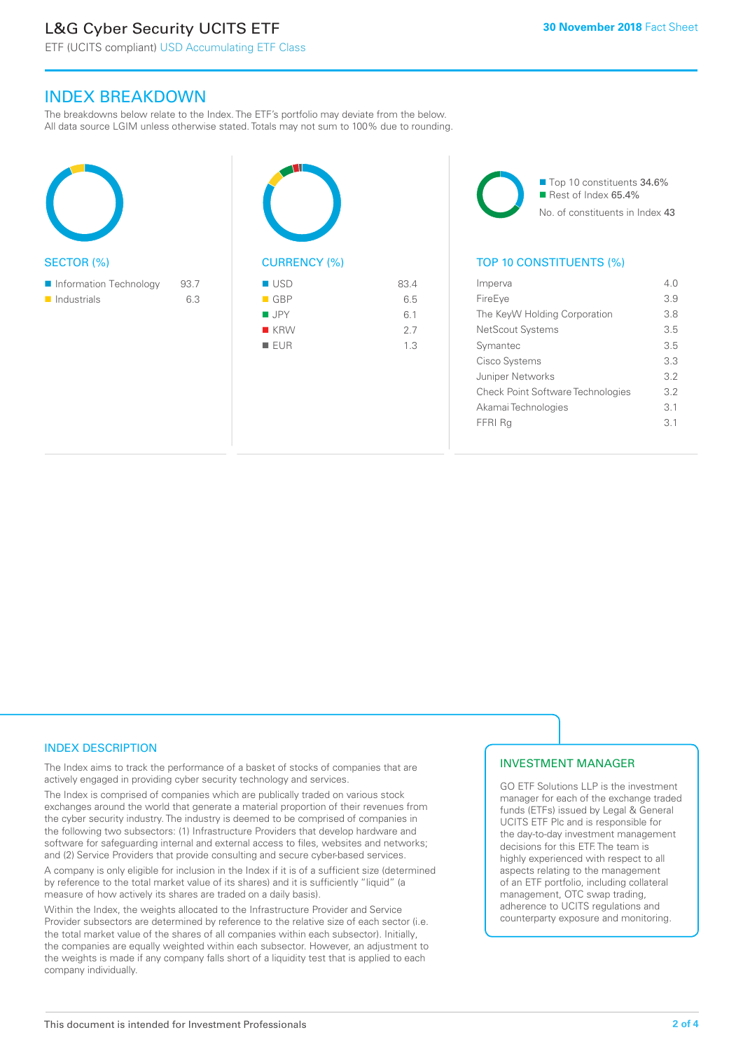# L&G Cyber Security UCITS ETF

ETF (UCITS compliant) USD Accumulating ETF Class

### INDEX BREAKDOWN

The breakdowns below relate to the Index. The ETF's portfolio may deviate from the below. All data source LGIM unless otherwise stated. Totals may not sum to 100% due to rounding.

| <b>SECTOR (%)</b>                                    |             |  |
|------------------------------------------------------|-------------|--|
| Information Technology<br>$\blacksquare$ Industrials | 93.7<br>6.3 |  |



| $\blacksquare$ USD | 83.4 |
|--------------------|------|
| $\blacksquare$ GBP | 6.5  |
| $\blacksquare$ JPY | 6.1  |
| $R$ KRW            | 2.7  |

 $I = F I I R$  1.3

■ Top 10 constituents 34.6%  $\blacksquare$  Rest of Index 65.4% No. of constituents in Index 43

#### TOP 10 CONSTITUENTS (%)

| Imperva                                  | 4 N |
|------------------------------------------|-----|
| FireEye                                  | 3.9 |
| The KeyW Holding Corporation             | 3.8 |
| NetScout Systems                         | 35  |
| Symantec                                 | 35  |
| Cisco Systems                            | 33  |
| Juniper Networks                         | 32  |
| <b>Check Point Software Technologies</b> | 3.2 |
| Akamai Technologies                      | 3.1 |
| FFRI Ra                                  | 31  |
|                                          |     |

#### INDEX DESCRIPTION

The Index aims to track the performance of a basket of stocks of companies that are actively engaged in providing cyber security technology and services.

The Index is comprised of companies which are publically traded on various stock exchanges around the world that generate a material proportion of their revenues from the cyber security industry. The industry is deemed to be comprised of companies in the following two subsectors: (1) Infrastructure Providers that develop hardware and software for safeguarding internal and external access to files, websites and networks; and (2) Service Providers that provide consulting and secure cyber-based services.

A company is only eligible for inclusion in the Index if it is of a sufficient size (determined by reference to the total market value of its shares) and it is sufficiently "liquid" (a measure of how actively its shares are traded on a daily basis).

Within the Index, the weights allocated to the Infrastructure Provider and Service Provider subsectors are determined by reference to the relative size of each sector (i.e. the total market value of the shares of all companies within each subsector). Initially, the companies are equally weighted within each subsector. However, an adjustment to the weights is made if any company falls short of a liquidity test that is applied to each company individually.

#### INVESTMENT MANAGER

GO ETF Solutions LLP is the investment manager for each of the exchange traded funds (ETFs) issued by Legal & General UCITS ETF Plc and is responsible for the day-to-day investment management decisions for this ETF. The team is highly experienced with respect to all aspects relating to the management of an ETF portfolio, including collateral management, OTC swap trading, adherence to UCITS regulations and counterparty exposure and monitoring.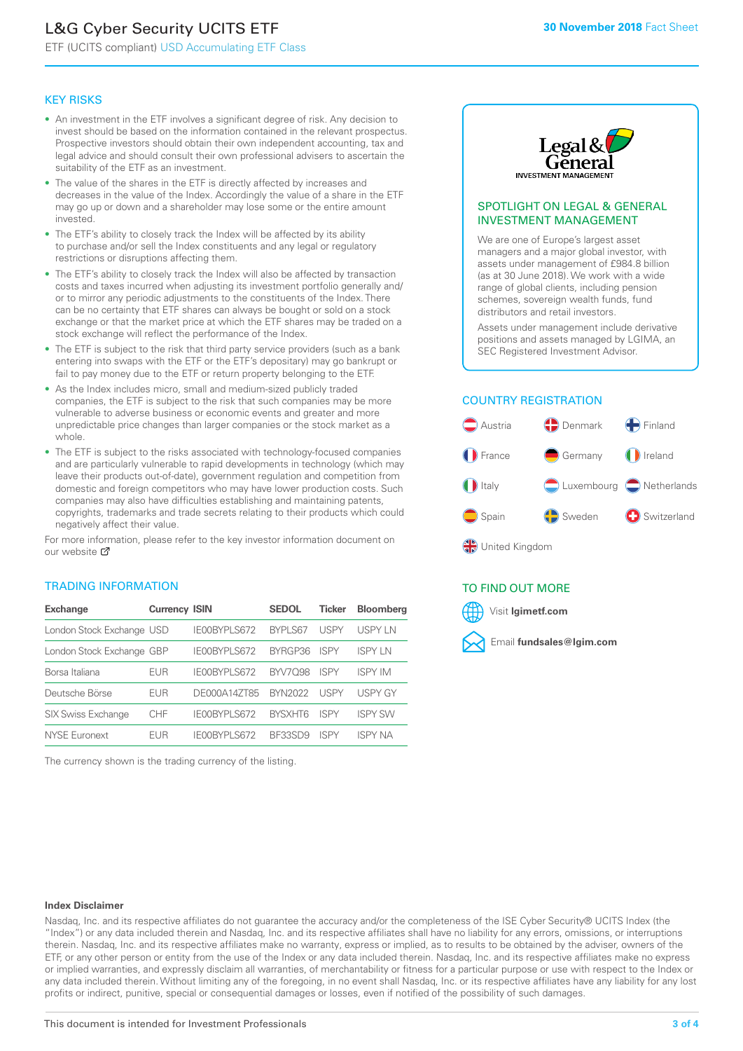# L&G Cyber Security UCITS ETF

ETF (UCITS compliant) USD Accumulating ETF Class

#### KEY RISKS

- An investment in the ETF involves a significant degree of risk. Any decision to invest should be based on the information contained in the relevant prospectus. Prospective investors should obtain their own independent accounting, tax and legal advice and should consult their own professional advisers to ascertain the suitability of the ETF as an investment.
- The value of the shares in the ETF is directly affected by increases and decreases in the value of the Index. Accordingly the value of a share in the ETF may go up or down and a shareholder may lose some or the entire amount invested.
- The ETF's ability to closely track the Index will be affected by its ability to purchase and/or sell the Index constituents and any legal or regulatory restrictions or disruptions affecting them.
- The ETF's ability to closely track the Index will also be affected by transaction costs and taxes incurred when adjusting its investment portfolio generally and/ or to mirror any periodic adjustments to the constituents of the Index. There can be no certainty that ETF shares can always be bought or sold on a stock exchange or that the market price at which the ETF shares may be traded on a stock exchange will reflect the performance of the Index.
- The ETF is subject to the risk that third party service providers (such as a bank entering into swaps with the ETF or the ETF's depositary) may go bankrupt or fail to pay money due to the ETF or return property belonging to the ETF.
- As the Index includes micro, small and medium-sized publicly traded companies, the ETF is subject to the risk that such companies may be more vulnerable to adverse business or economic events and greater and more unpredictable price changes than larger companies or the stock market as a whole.
- The ETF is subject to the risks associated with technology-focused companies and are particularly vulnerable to rapid developments in technology (which may leave their products out-of-date), government regulation and competition from domestic and foreign competitors who may have lower production costs. Such companies may also have difficulties establishing and maintaining patents, copyrights, trademarks and trade secrets relating to their products which could negatively affect their value.

For more information, please refer to the key investor information document on our website M

#### TRADING INFORMATION

| <b>Exchange</b>           | <b>Currency ISIN</b> |                     | <b>SEDOL</b>   | <b>Ticker</b> | <b>Bloomberg</b> |
|---------------------------|----------------------|---------------------|----------------|---------------|------------------|
| London Stock Exchange USD |                      | IE00BYPLS672        | BYPLS67        | <b>USPY</b>   | USPY IN          |
| London Stock Exchange GBP |                      | IE00BYPLS672        | BYRGP36        | <b>ISPY</b>   | <b>ISPY IN</b>   |
| Borsa Italiana            | EUR                  | <b>IFOORYPLS672</b> | <b>BYV7098</b> | <b>ISPY</b>   | <b>ISPY IM</b>   |
| Deutsche Börse            | EUR                  | DE000A14ZT85        | <b>BYN2022</b> | <b>USPY</b>   | <b>USPY GY</b>   |
| <b>SIX Swiss Exchange</b> | <b>CHF</b>           | IE00BYPLS672        | <b>RYSXHT6</b> | <b>ISPY</b>   | <b>ISPY SW</b>   |
| NYSE Euronext             | FUR                  | IF00BYPLS672        | BE33SD9        | ISPY          | ISPY NA          |

The currency shown is the trading currency of the listing.



#### SPOTLIGHT ON LEGAL & GENERAL INVESTMENT MANAGEMENT

We are one of Europe's largest asset managers and a major global investor, with assets under management of £984.8 billion (as at 30 June 2018). We work with a wide range of global clients, including pension schemes, sovereign wealth funds, fund distributors and retail investors.

Assets under management include derivative positions and assets managed by LGIMA, an SEC Registered Investment Advisor.

#### COUNTRY REGISTRATION



#### TO FIND OUT MORE

Visit **lgimetf.com**



#### **Index Disclaimer**

Nasdaq, Inc. and its respective affiliates do not guarantee the accuracy and/or the completeness of the ISE Cyber Security® UCITS Index (the "Index") or any data included therein and Nasdaq, Inc. and its respective affiliates shall have no liability for any errors, omissions, or interruptions therein. Nasdaq, Inc. and its respective affiliates make no warranty, express or implied, as to results to be obtained by the adviser, owners of the ETF, or any other person or entity from the use of the Index or any data included therein. Nasdaq, Inc. and its respective affiliates make no express or implied warranties, and expressly disclaim all warranties, of merchantability or fitness for a particular purpose or use with respect to the Index or any data included therein. Without limiting any of the foregoing, in no event shall Nasdaq, Inc. or its respective affiliates have any liability for any lost profits or indirect, punitive, special or consequential damages or losses, even if notified of the possibility of such damages.